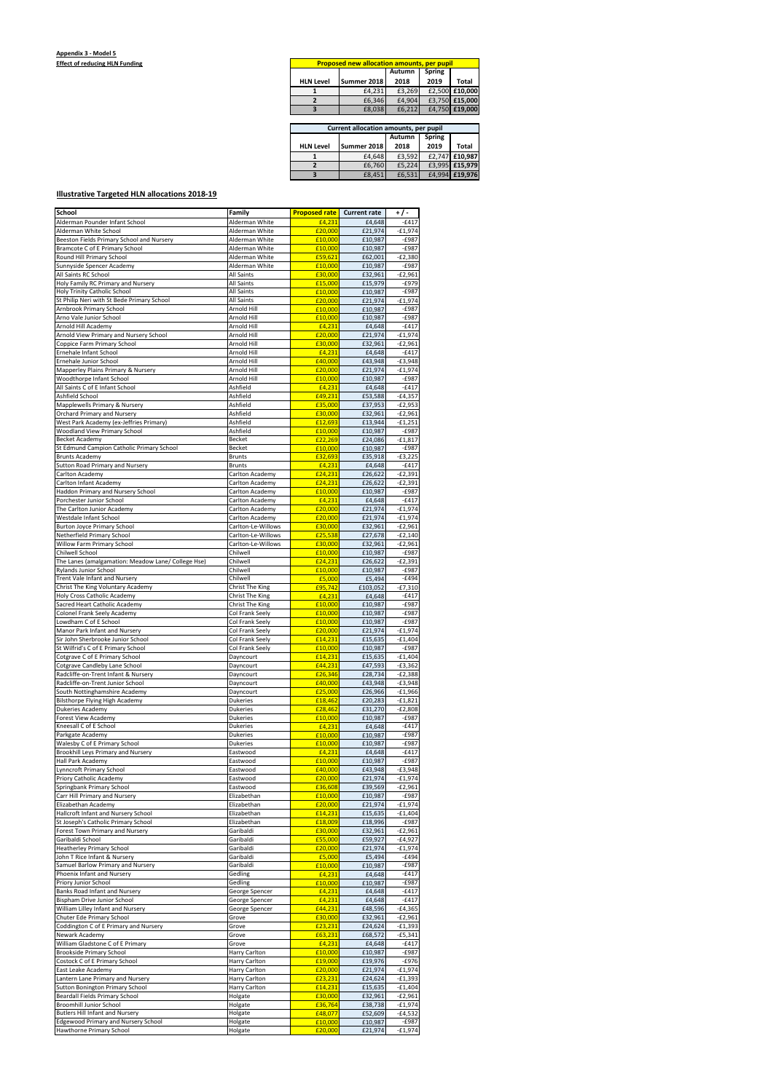## **Illustrative Targeted HLN allocations 2018-19**

| <b>Proposed new allocation amounts, per pupil</b> |             |               |               |                |
|---------------------------------------------------|-------------|---------------|---------------|----------------|
|                                                   |             | <b>Autumn</b> | <b>Spring</b> |                |
| <b>HLN Level</b>                                  | Summer 2018 | 2018          | 2019          | <b>Total</b>   |
|                                                   | £4,231      | £3,269        |               | £2,500 £10,000 |
|                                                   | £6,346      | £4,904        |               | £3,750 £15,000 |
|                                                   | £8,038      | £6,212        |               | £4,750 £19,000 |
|                                                   |             |               |               |                |

| Current allocation amounts, per pupil |             |        |        |                |
|---------------------------------------|-------------|--------|--------|----------------|
|                                       |             | Autumn | Spring |                |
| <b>HLN Level</b>                      | Summer 2018 | 2018   | 2019   | Total          |
|                                       | £4,648      | £3,592 |        | £2,747 £10,987 |
|                                       | £6,760      | £5,224 |        | £3,995 £15,979 |
|                                       | £8,451      | £6,531 |        | £4,994 £19,976 |

| School                                                             | Family                             | <b>Proposed rate</b> | <b>Current rate</b> | $+/-$                  |
|--------------------------------------------------------------------|------------------------------------|----------------------|---------------------|------------------------|
| Alderman Pounder Infant School                                     | Alderman White                     | £4.231               | £4,648              | $-£417$                |
| Alderman White School                                              | Alderman White                     | £20,000              | £21,974             | $-E1,974$              |
| Beeston Fields Primary School and Nursery                          | Alderman White                     | £10.000              | £10,987             | $-£987$                |
| Bramcote C of E Primary School                                     | Alderman White<br>Alderman White   | £10,000              | £10,987             | $-£987$                |
| Round Hill Primary School                                          |                                    | £59,621<br>£10,000   | £62,001             | $-E2,380$<br>$-£987$   |
| Sunnyside Spencer Academy<br>All Saints RC School                  | Alderman White<br>All Saints       | £30,000              | £10,987<br>£32,961  | $-E2,961$              |
| Holy Family RC Primary and Nursery                                 | All Saints                         | £15,000              | £15,979             | $-E979$                |
| Holy Trinity Catholic School                                       | <b>All Saints</b>                  | £10,000              | £10,987             | $-£987$                |
| St Philip Neri with St Bede Primary School                         | <b>All Saints</b>                  | £20,000              | £21,974             | $-£1,974$              |
| Arnbrook Primary School                                            | Arnold Hill                        | £10,000              | £10.987             | $-£987$                |
| Arno Vale Junior School                                            | Arnold Hill                        | £10,000              | £10,987             | $-E987$                |
| Arnold Hill Academy                                                | Arnold Hill                        | £4,231               | £4,648              | $-£417$                |
| Arnold View Primary and Nursery School                             | Arnold Hill                        | £20,000              | £21,974             | $-£1,974$              |
| Coppice Farm Primary School                                        | Arnold Hill                        | £30,000              | £32,961             | $-E2,961$              |
| Ernehale Infant School                                             | Arnold Hill                        | £4,231               | £4,648              | $-£417$                |
| Ernehale Junior School                                             | Arnold Hill                        | £40,000              | £43,948             | $-£3,948$              |
| Mapperley Plains Primary & Nursery                                 | Arnold Hill                        | £20,000              | £21,974             | $-£1,974$              |
| Woodthorpe Infant School                                           | Arnold Hill                        | £10,000              | £10,987             | $-E987$                |
| All Saints C of E Infant School                                    | Ashfield                           | £4,231               | £4,648              | $-E417$                |
| Ashfield School                                                    | Ashfield                           | £49,231              | £53,588             | $-£4,357$              |
| Mapplewells Primary & Nursery                                      | Ashfield                           | £35.000              | £37,953             | $-E2,953$              |
| <b>Orchard Primary and Nursery</b>                                 | Ashfield                           | £30,000              | £32,961             | $-E2,961$              |
| West Park Academy (ex-Jeffries Primary)                            | Ashfield                           | £12,693              | £13,944             | $-£1,251$              |
| Woodland View Primary School                                       | Ashfield                           | £10,000              | £10,987             | $-£987$                |
| <b>Becket Academy</b>                                              | Becket                             | £22,269              | £24,086             | $-£1,817$              |
| St Edmund Campion Catholic Primary School                          | <b>Becket</b>                      | £10,000<br>£32,693   | £10,987<br>£35,918  | $-£987$                |
| <b>Brunts Academy</b><br>Sutton Road Primary and Nursery           | <b>Brunts</b><br><b>Brunts</b>     | £4,231               | £4,648              | $-£3,225$<br>$-£417$   |
| Carlton Academy                                                    | Carlton Academy                    | £24,231              | £26,622             | $-E2,391$              |
| Carlton Infant Academy                                             | Carlton Academy                    | £24,231              | £26,622             | $-E2,391$              |
| Haddon Primary and Nursery School                                  | Carlton Academy                    | £10,000              | £10,987             | $-£987$                |
| Porchester Junior School                                           | Carlton Academy                    | £4,231               | £4,648              | $-E417$                |
| The Carlton Junior Academy                                         | Carlton Academy                    | £20,000              | £21,974             | $-£1,974$              |
| Westdale Infant School                                             | Carlton Academy                    | £20,000              | £21,974             | $-£1,974$              |
| <b>Burton Joyce Primary School</b>                                 | Carlton-Le-Willows                 | £30,000              | £32,961             | $-E2,961$              |
| Netherfield Primary School                                         | Carlton-Le-Willows                 | £25,538              | £27,678             | $-E2,140$              |
| Willow Farm Primary School                                         | Carlton-Le-Willows                 | £30,000              | £32,961             | $-E2,961$              |
| Chilwell School                                                    | Chilwell                           | £10,000              | £10,987             | $-£987$                |
| The Lanes (amalgamation: Meadow Lane/ College Hse)                 | Chilwell                           | £24,231              | £26,622             | $-E2,391$              |
| <b>Rylands Junior School</b>                                       | Chilwell                           | £10.000              | £10,987             | $-£987$                |
| Trent Vale Infant and Nursery                                      | Chilwell                           | £5,000               | £5,494              | $-E494$                |
| Christ The King Voluntary Academy                                  | Christ The King                    | £95,742              | £103,052            | $-£7,310$              |
| Holy Cross Catholic Academy                                        | Christ The King                    | £4,231               | £4,648              | $-£417$                |
| Sacred Heart Catholic Academy                                      | Christ The King                    | £10,000              | £10,987             | $-E987$                |
| Colonel Frank Seely Academy                                        | Col Frank Seely                    | £10,000              | £10,987             | $-E987$                |
| Lowdham C of E School                                              | Col Frank Seely                    | £10,000              | £10,987             | $-E987$                |
| Manor Park Infant and Nursery                                      | Col Frank Seely                    | £20,000              | £21,974             | $-£1,974$              |
| Sir John Sherbrooke Junior School                                  | Col Frank Seely                    | £14,231              | £15,635             | $-£1,404$              |
| St Wilfrid's C of E Primary School                                 | Col Frank Seely                    | £10,000              | £10,987             | $-E987$                |
| Cotgrave C of E Primary School                                     | Dayncourt                          | £14,231              | £15,635             | $-£1,404$              |
| Cotgrave Candleby Lane School                                      | Dayncourt                          | £44,231              | £47,593             | $-£3,362$              |
| Radcliffe-on-Trent Infant & Nursery                                | Dayncourt                          | £26,346              | £28,734             | $-E2,388$              |
| Radcliffe-on-Trent Junior School                                   | Dayncourt                          | £40,000              | £43,948             | $-E3,948$              |
| South Nottinghamshire Academy                                      | Dayncourt                          | £25,000              | £26,966             | $-£1,966$              |
| Bilsthorpe Flying High Academy                                     | <b>Dukeries</b>                    | £18,462              | £20,283             | $-£1,821$              |
| Dukeries Academy                                                   | <b>Dukeries</b><br><b>Dukeries</b> | £28,462<br>£10,000   | £31,270<br>£10,987  | $-E2,808$<br>$-E987$   |
| Forest View Academy<br>Kneesall C of E School                      | <b>Dukeries</b>                    | £4,231               | £4,648              | $-E417$                |
| Parkgate Academy                                                   | <b>Dukeries</b>                    | £10,000              | £10,987             | $-£987$                |
| Walesby C of E Primary School                                      | <b>Dukeries</b>                    | £10,000              | £10,987             | $-E987$                |
| Brookhill Leys Primary and Nursery                                 | Eastwood                           | £4,231               | £4,648              | $-6417$                |
| Hall Park Academy                                                  | Eastwood                           | £10,000              | £10,987             | $-£987$                |
| Lynncroft Primary School                                           | Eastwood                           | £40,000              | £43,948             | $-£3,948$              |
| Priory Catholic Academy                                            | Eastwood                           | £20,000              | £21,974             | $-E1,974$              |
| Springbank Primary School                                          | Eastwood                           | £36,608              | £39,569             | $-E2,961$              |
| Carr Hill Primary and Nursery                                      | Elizabethan                        | £10,000              | £10,987             | $-E987$                |
| Elizabethan Academy                                                | Elizabethan                        | £20,000              | £21,974             | $-£1,974$              |
| Hallcroft Infant and Nursery School                                | Elizabethan                        | £14,231              | £15,635             | $-£1,404$              |
| St Joseph's Catholic Primary School                                | Elizabethan                        | £18,009              | £18,996             | $-E987$                |
| Forest Town Primary and Nursery                                    | Garibaldi                          | £30,000              | £32,961             | $-E2,961$              |
| Garibaldi School                                                   | Garibaldi                          | £55,000              | £59,927             | $-£4,927$              |
| Heatherley Primary School                                          | Garibaldi                          | £20,000              | £21,974             | $-£1,974$              |
| John T Rice Infant & Nursery                                       | Garibaldi                          | £5,000               | £5,494              | $-E494$                |
| Samuel Barlow Primary and Nursery                                  | Garibaldi                          | £10,000              | £10,987             | $-£987$                |
| Phoenix Infant and Nursery                                         | Gedling                            | £4,231               | £4,648              | $-E417$                |
| Priory Junior School                                               | Gedling                            | £10,000              | £10,987             | $-£987$                |
| Banks Road Infant and Nursery                                      | George Spencer                     | £4,231               | £4,648              | $-E417$                |
| Bispham Drive Junior School                                        | George Spencer                     | £4,231               | £4,648              | $-£417$                |
| William Lilley Infant and Nursery                                  | George Spencer                     | £44,231              | £48,596             | $-£4,365$              |
| Chuter Ede Primary School<br>Coddington C of E Primary and Nursery | Grove<br>Grove                     | £30,000<br>£23,231   | £32,961<br>£24,624  | $-E2,961$              |
| Newark Academy                                                     | Grove                              | £63,231              | £68,572             | $-E1,393$<br>$-£5,341$ |
| William Gladstone C of E Primary                                   | Grove                              | £4,231               | £4,648              | $-E417$                |
| <b>Brookside Primary School</b>                                    | Harry Carlton                      | £10,000              | £10,987             | $-E987$                |
| Costock C of E Primary School                                      | Harry Carlton                      | £19,000              | £19,976             | $-E976$                |
| East Leake Academy                                                 | Harry Carlton                      | £20,000              | £21,974             | $-£1,974$              |
| Lantern Lane Primary and Nursery                                   | Harry Carlton                      | £23,231              | £24,624             | -£1,393                |
| <b>Sutton Bonington Primary School</b>                             | Harry Carlton                      | £14,231              | £15,635             | $-£1,404$              |
| Beardall Fields Primary School                                     | Holgate                            | £30,000              | £32,961             | $-E2,961$              |
| <b>Broomhill Junior School</b>                                     | Holgate                            | £36,764              | £38,738             | $-E1,974$              |
| <b>Butlers Hill Infant and Nursery</b>                             | Holgate                            | £48,077              | £52,609             | $-£4,532$              |
| <b>Edgewood Primary and Nursery School</b>                         | Holgate                            | £10,000              | £10,987             | $-£987$                |
| <b>Hawthorne Primary School</b>                                    | Holgate                            | £20,000              | £21,974             | $-£1,974$              |